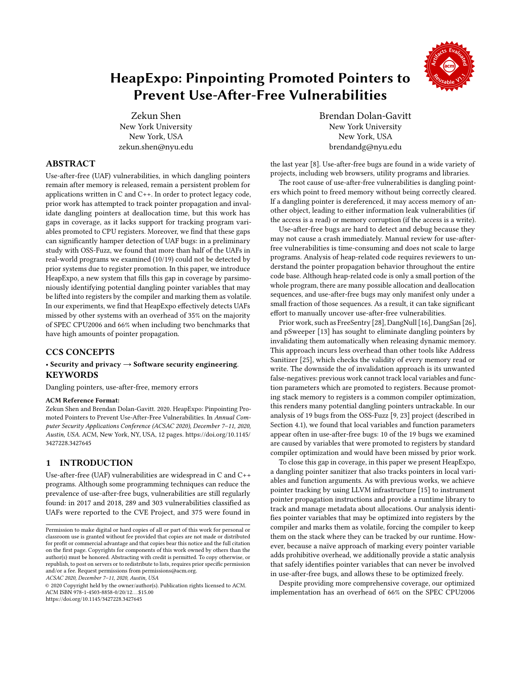

# HeapExpo: Pinpointing Promoted Pointers to Prevent Use-After-Free Vulnerabilities

Zekun Shen New York University New York, USA zekun.shen@nyu.edu

# ABSTRACT

Use-after-free (UAF) vulnerabilities, in which dangling pointers remain after memory is released, remain a persistent problem for applications written in C and C++. In order to protect legacy code, prior work has attempted to track pointer propagation and invalidate dangling pointers at deallocation time, but this work has gaps in coverage, as it lacks support for tracking program variables promoted to CPU registers. Moreover, we find that these gaps can significantly hamper detection of UAF bugs: in a preliminary study with OSS-Fuzz, we found that more than half of the UAFs in real-world programs we examined (10/19) could not be detected by prior systems due to register promotion. In this paper, we introduce HeapExpo, a new system that fills this gap in coverage by parsimoniously identifying potential dangling pointer variables that may be lifted into registers by the compiler and marking them as volatile. In our experiments, we find that HeapExpo effectively detects UAFs missed by other systems with an overhead of 35% on the majority of SPEC CPU2006 and 66% when including two benchmarks that have high amounts of pointer propagation.

## CCS CONCEPTS

## • Security and privacy  $\rightarrow$  Software security engineering. **KEYWORDS**

Dangling pointers, use-after-free, memory errors

#### ACM Reference Format:

Zekun Shen and Brendan Dolan-Gavitt. 2020. HeapExpo: Pinpointing Promoted Pointers to Prevent Use-After-Free Vulnerabilities. In Annual Computer Security Applications Conference (ACSAC 2020), December 7–11, 2020, Austin, USA. ACM, New York, NY, USA, [12](#page-11-0) pages. [https://doi.org/10.1145/](https://doi.org/10.1145/3427228.3427645) [3427228.3427645](https://doi.org/10.1145/3427228.3427645)

# 1 INTRODUCTION

Use-after-free (UAF) vulnerabilities are widespread in C and C++ programs. Although some programming techniques can reduce the prevalence of use-after-free bugs, vulnerabilities are still regularly found: in 2017 and 2018, 289 and 303 vulnerabilities classified as UAFs were reported to the CVE Project, and 375 were found in

ACSAC 2020, December 7–11, 2020, Austin, USA

© 2020 Copyright held by the owner/author(s). Publication rights licensed to ACM. ACM ISBN 978-1-4503-8858-0/20/12. . . \$15.00 <https://doi.org/10.1145/3427228.3427645>

Brendan Dolan-Gavitt New York University New York, USA brendandg@nyu.edu

the last year [\[8\]](#page-10-0). Use-after-free bugs are found in a wide variety of projects, including web browsers, utility programs and libraries.

The root cause of use-after-free vulnerabilities is dangling pointers which point to freed memory without being correctly cleared. If a dangling pointer is dereferenced, it may access memory of another object, leading to either information leak vulnerabilities (if the access is a read) or memory corruption (if the access is a write).

Use-after-free bugs are hard to detect and debug because they may not cause a crash immediately. Manual review for use-afterfree vulnerabilities is time-consuming and does not scale to large programs. Analysis of heap-related code requires reviewers to understand the pointer propagation behavior throughout the entire code base. Although heap-related code is only a small portion of the whole program, there are many possible allocation and deallocation sequences, and use-after-free bugs may only manifest only under a small fraction of those sequences. As a result, it can take significant effort to manually uncover use-after-free vulnerabilities.

Prior work, such as FreeSentry [\[28\]](#page-11-1), DangNull [\[16\]](#page-10-1), DangSan [\[26\]](#page-11-2), and pSweeper [\[13\]](#page-10-2) has sought to eliminate dangling pointers by invalidating them automatically when releasing dynamic memory. This approach incurs less overhead than other tools like Address Sanitizer [\[25\]](#page-11-3), which checks the validity of every memory read or write. The downside the of invalidation approach is its unwanted false-negatives: previous work cannot track local variables and function parameters which are promoted to registers. Because promoting stack memory to registers is a common compiler optimization, this renders many potential dangling pointers untrackable. In our analysis of 19 bugs from the OSS-Fuzz [\[9,](#page-10-3) [23\]](#page-11-4) project (described in Section [4.1\)](#page-5-0), we found that local variables and function parameters appear often in use-after-free bugs: 10 of the 19 bugs we examined are caused by variables that were promoted to registers by standard compiler optimization and would have been missed by prior work.

To close this gap in coverage, in this paper we present HeapExpo, a dangling pointer sanitizer that also tracks pointers in local variables and function arguments. As with previous works, we achieve pointer tracking by using LLVM infrastructure [\[15\]](#page-10-4) to instrument pointer propagation instructions and provide a runtime library to track and manage metadata about allocations. Our analysis identifies pointer variables that may be optimized into registers by the compiler and marks them as volatile, forcing the compiler to keep them on the stack where they can be tracked by our runtime. However, because a naïve approach of marking every pointer variable adds prohibitive overhead, we additionally provide a static analysis that safely identifies pointer variables that can never be involved in use-after-free bugs, and allows these to be optimized freely.

Despite providing more comprehensive coverage, our optimized implementation has an overhead of 66% on the SPEC CPU2006

Permission to make digital or hard copies of all or part of this work for personal or classroom use is granted without fee provided that copies are not made or distributed for profit or commercial advantage and that copies bear this notice and the full citation on the first page. Copyrights for components of this work owned by others than the author(s) must be honored. Abstracting with credit is permitted. To copy otherwise, or republish, to post on servers or to redistribute to lists, requires prior specific permission and/or a fee. Request permissions from permissions@acm.org.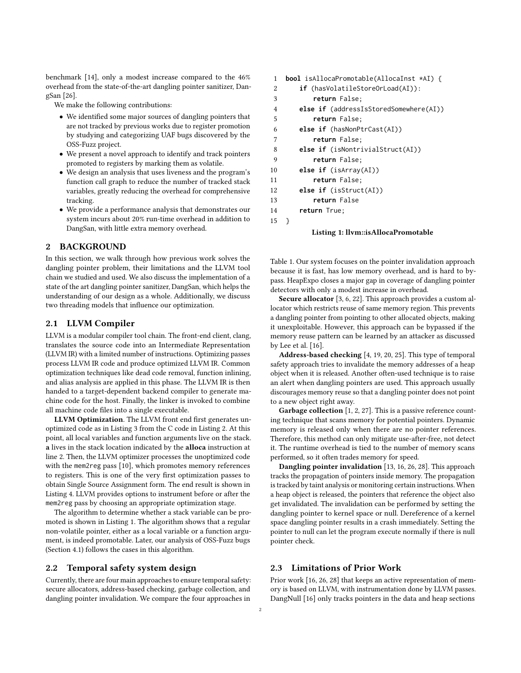benchmark [\[14\]](#page-10-5), only a modest increase compared to the 46% overhead from the state-of-the-art dangling pointer sanitizer, DangSan [\[26\]](#page-11-2).

We make the following contributions:

- We identified some major sources of dangling pointers that are not tracked by previous works due to register promotion by studying and categorizing UAF bugs discovered by the OSS-Fuzz project.
- We present a novel approach to identify and track pointers promoted to registers by marking them as volatile.
- We design an analysis that uses liveness and the program's function call graph to reduce the number of tracked stack variables, greatly reducing the overhead for comprehensive tracking.
- We provide a performance analysis that demonstrates our system incurs about 20% run-time overhead in addition to DangSan, with little extra memory overhead.

#### 2 BACKGROUND

In this section, we walk through how previous work solves the dangling pointer problem, their limitations and the LLVM tool chain we studied and used. We also discuss the implementation of a state of the art dangling pointer sanitizer, DangSan, which helps the understanding of our design as a whole. Additionally, we discuss two threading models that influence our optimization.

## 2.1 LLVM Compiler

LLVM is a modular compiler tool chain. The front-end client, clang, translates the source code into an Intermediate Representation (LLVM IR) with a limited number of instructions. Optimizing passes process LLVM IR code and produce optimized LLVM IR. Common optimization techniques like dead code removal, function inlining, and alias analysis are applied in this phase. The LLVM IR is then handed to a target-dependent backend compiler to generate machine code for the host. Finally, the linker is invoked to combine all machine code files into a single executable.

LLVM Optimization. The LLVM front end first generates unoptimized code as in Listing [3](#page-2-0) from the C code in Listing [2.](#page-2-1) At this point, all local variables and function arguments live on the stack. a lives in the stack location indicated by the alloca instruction at line 2. Then, the LLVM optimizer processes the unoptimized code with the mem2reg pass [\[10\]](#page-10-6), which promotes memory references to registers. This is one of the very first optimization passes to obtain Single Source Assignment form. The end result is shown in Listing [4.](#page-2-2) LLVM provides options to instrument before or after the mem2reg pass by choosing an appropriate optimization stage.

The algorithm to determine whether a stack variable can be promoted is shown in Listing [1.](#page-1-0) The algorithm shows that a regular non-volatile pointer, either as a local variable or a function argument, is indeed promotable. Later, our analysis of OSS-Fuzz bugs (Section [4.1\)](#page-5-0) follows the cases in this algorithm.

## 2.2 Temporal safety system design

Currently, there are four main approaches to ensure temporal safety: secure allocators, address-based checking, garbage collection, and dangling pointer invalidation. We compare the four approaches in

# <span id="page-1-0"></span>1 **bool** isAllocaPromotable(AllocaInst \*AI) { 2 **if** (hasVolatileStoreOrLoad(AI)): 3 **return** False; 4 **else if** (addressIsStoredSomewhere(AI)) 5 **return** False; 6 **else if** (hasNonPtrCast(AI)) 7 **return** False; 8 **else if** (isNontrivialStruct(AI)) 9 **return** False; 10 **else if** (isArray(AI)) 11 **return** False; 12 **else if** (isStruct(AI)) 13 **return** False 14 **return** True; 15 }

#### Listing 1: llvm::isAllocaPromotable

Table [1.](#page-2-3) Our system focuses on the pointer invalidation approach because it is fast, has low memory overhead, and is hard to bypass. HeapExpo closes a major gap in coverage of dangling pointer detectors with only a modest increase in overhead.

Secure allocator [\[3,](#page-10-7) [6,](#page-10-8) [22\]](#page-11-5). This approach provides a custom allocator which restricts reuse of same memory region. This prevents a dangling pointer from pointing to other allocated objects, making it unexploitable. However, this approach can be bypassed if the memory reuse pattern can be learned by an attacker as discussed by Lee et al. [\[16\]](#page-10-1).

Address-based checking [\[4,](#page-10-9) [19,](#page-10-10) [20,](#page-10-11) [25\]](#page-11-3). This type of temporal safety approach tries to invalidate the memory addresses of a heap object when it is released. Another often-used technique is to raise an alert when dangling pointers are used. This approach usually discourages memory reuse so that a dangling pointer does not point to a new object right away.

Garbage collection [\[1,](#page-10-12) [2,](#page-10-13) [27\]](#page-11-6). This is a passive reference counting technique that scans memory for potential pointers. Dynamic memory is released only when there are no pointer references. Therefore, this method can only mitigate use-after-free, not detect it. The runtime overhead is tied to the number of memory scans performed, so it often trades memory for speed.

Dangling pointer invalidation [\[13,](#page-10-2) [16,](#page-10-1) [26,](#page-11-2) [28\]](#page-11-1). This approach tracks the propagation of pointers inside memory. The propagation is tracked by taint analysis or monitoring certain instructions. When a heap object is released, the pointers that reference the object also get invalidated. The invalidation can be performed by setting the dangling pointer to kernel space or null. Dereference of a kernel space dangling pointer results in a crash immediately. Setting the pointer to null can let the program execute normally if there is null pointer check.

## 2.3 Limitations of Prior Work

Prior work [\[16,](#page-10-1) [26,](#page-11-2) [28\]](#page-11-1) that keeps an active representation of memory is based on LLVM, with instrumentation done by LLVM passes. DangNull [\[16\]](#page-10-1) only tracks pointers in the data and heap sections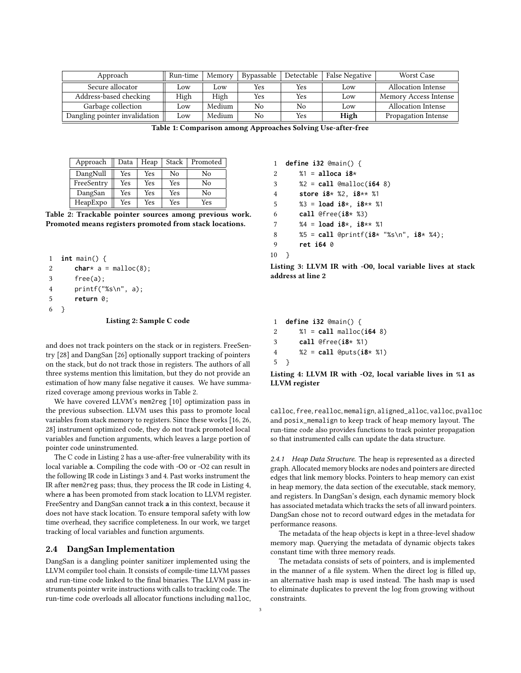<span id="page-2-3"></span>

| Approach                      | Run-time | Memory | Bypassable | Detectable | False Negative | Worst Case                |
|-------------------------------|----------|--------|------------|------------|----------------|---------------------------|
| Secure allocator              | Low      | .0W    | Yes        | Yes        | Low            | <b>Allocation Intense</b> |
| Address-based checking        | High     | High   | Yes        | Yes        | Low            | Memory Access Intense     |
| Garbage collection            | Low      | Medium | No         | No         | Low            | <b>Allocation Intense</b> |
| Dangling pointer invalidation | Low      | Medium | No         | Yes        | High           | Propagation Intense       |

Table 1: Comparison among Approaches Solving Use-after-free

<span id="page-2-4"></span>

| Approach   | Data | Heap | Stack | Promoted |
|------------|------|------|-------|----------|
| DangNull   | Yes  | Yes  | No    | No       |
| FreeSentry | Yes  | Yes  | Yes   | No       |
| DangSan    | Yes  | Yes  | Yes   | No       |
| HeapExpo   | Yes  | Yes  | Yes   | Yes      |

Table 2: Trackable pointer sources among previous work. Promoted means registers promoted from stack locations.

```
1 int main() {
2 char* a = \text{malloc}(8);
3 free(a);
4 printf("%s\n", a);
5 return 0;
6 }
```
#### Listing 2: Sample C code

and does not track pointers on the stack or in registers. FreeSentry [\[28\]](#page-11-1) and DangSan [\[26\]](#page-11-2) optionally support tracking of pointers on the stack, but do not track those in registers. The authors of all three systems mention this limitation, but they do not provide an estimation of how many false negative it causes. We have summarized coverage among previous works in Table [2.](#page-2-4)

We have covered LLVM's mem2reg [\[10\]](#page-10-6) optimization pass in the previous subsection. LLVM uses this pass to promote local variables from stack memory to registers. Since these works [\[16,](#page-10-1) [26,](#page-11-2) [28\]](#page-11-1) instrument optimized code, they do not track promoted local variables and function arguments, which leaves a large portion of pointer code uninstrumented.

The C code in Listing [2](#page-2-1) has a use-after-free vulnerability with its local variable a. Compiling the code with -O0 or -O2 can result in the following IR code in Listings [3](#page-2-0) and [4.](#page-2-2) Past works instrument the IR after mem2reg pass; thus, they process the IR code in Listing [4,](#page-2-2) where a has been promoted from stack location to LLVM register. FreeSentry and DangSan cannot track a in this context, because it does not have stack location. To ensure temporal safety with low time overhead, they sacrifice completeness. In our work, we target tracking of local variables and function arguments.

#### 2.4 DangSan Implementation

DangSan is a dangling pointer sanitizer implemented using the LLVM compiler tool chain. It consists of compile-time LLVM passes and run-time code linked to the final binaries. The LLVM pass instruments pointer write instructions with calls to tracking code. The run-time code overloads all allocator functions including malloc,

```
1 define i32 @main() {
2 %1 = alloca i8*
3 %2 = call @malloc(i64 8)
4 store i8* %2, i8** %1
5 %3 = load i8*, i8** %1
6 call @free(i8* %3)
7 %4 = load i8*, i8** %1
8 %5 = call @printf(i8* "%s\n", i8* %4);
9 ret i64 0
10 }
```
Listing 3: LLVM IR with -O0, local variable lives at stack address at line 2

<span id="page-2-2"></span> **define i32** @main() { %1 = **call** malloc(**i64** 8) **call** @free(**i8**\* %1) %2 = **call** @puts(**i8**\* %1) 5 }

Listing 4: LLVM IR with -O2, local variable lives in %1 as LLVM register

calloc, free, realloc, memalign, aligned\_alloc, valloc, pvalloc and posix\_memalign to keep track of heap memory layout. The run-time code also provides functions to track pointer propagation so that instrumented calls can update the data structure.

2.4.1 Heap Data Structure. The heap is represented as a directed graph. Allocated memory blocks are nodes and pointers are directed edges that link memory blocks. Pointers to heap memory can exist in heap memory, the data section of the executable, stack memory, and registers. In DangSan's design, each dynamic memory block has associated metadata which tracks the sets of all inward pointers. DangSan chose not to record outward edges in the metadata for performance reasons.

The metadata of the heap objects is kept in a three-level shadow memory map. Querying the metadata of dynamic objects takes constant time with three memory reads.

The metadata consists of sets of pointers, and is implemented in the manner of a file system. When the direct log is filled up, an alternative hash map is used instead. The hash map is used to eliminate duplicates to prevent the log from growing without constraints.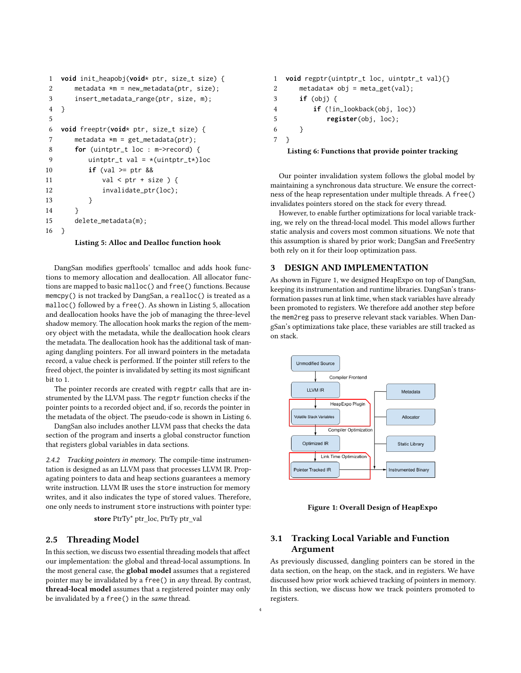```
1 void init_heapobj(void* ptr, size_t size) {
2 metadata *m = new\_metadata(ptr, size);3 insert_metadata_range(ptr, size, m);
4 }
5
6 void freeptr(void* ptr, size_t size) {
7 metadata *m = get\_metadata(ptr);8 for (uintptr_t loc : m->record) {
9 uintptr_t val = *(uintptr_t*)loc
10 if (val >= ptr &&
11 val < \text{ptr} + size ) {
12 invalidate_ptr(loc);
13 }
14 }
15 delete_metadata(m);
16 }
```
Listing 5: Alloc and Dealloc function hook

DangSan modifies gperftools' tcmalloc and adds hook functions to memory allocation and deallocation. All allocator functions are mapped to basic malloc() and free() functions. Because memcpy() is not tracked by DangSan, a realloc() is treated as a malloc() followed by a free(). As shown in Listing [5,](#page-3-0) allocation and deallocation hooks have the job of managing the three-level shadow memory. The allocation hook marks the region of the memory object with the metadata, while the deallocation hook clears the metadata. The deallocation hook has the additional task of managing dangling pointers. For all inward pointers in the metadata record, a value check is performed. If the pointer still refers to the freed object, the pointer is invalidated by setting its most significant bit to 1.

The pointer records are created with regptr calls that are instrumented by the LLVM pass. The regptr function checks if the pointer points to a recorded object and, if so, records the pointer in the metadata of the object. The pseudo-code is shown in Listing [6.](#page-3-1)

DangSan also includes another LLVM pass that checks the data section of the program and inserts a global constructor function that registers global variables in data sections.

2.4.2 Tracking pointers in memory. The compile-time instrumentation is designed as an LLVM pass that processes LLVM IR. Propagating pointers to data and heap sections guarantees a memory write instruction. LLVM IR uses the store instruction for memory writes, and it also indicates the type of stored values. Therefore, one only needs to instrument store instructions with pointer type:

store PtrTy\* ptr\_loc, PtrTy ptr\_val

#### 2.5 Threading Model

In this section, we discuss two essential threading models that affect our implementation: the global and thread-local assumptions. In the most general case, the global model assumes that a registered pointer may be invalidated by a free() in any thread. By contrast, thread-local model assumes that a registered pointer may only be invalidated by a free() in the same thread.

```
1 void regptr(uintptr_t loc, uintptr_t val){}
2 metadata* obj = meta_get(val);
3 if (obj) {
4 if (!in_lookback(obj, loc))
5 register(obj, loc);
6 }
7 }
```
#### Listing 6: Functions that provide pointer tracking

Our pointer invalidation system follows the global model by maintaining a synchronous data structure. We ensure the correctness of the heap representation under multiple threads. A free() invalidates pointers stored on the stack for every thread.

However, to enable further optimizations for local variable tracking, we rely on the thread-local model. This model allows further static analysis and covers most common situations. We note that this assumption is shared by prior work; DangSan and FreeSentry both rely on it for their loop optimization pass.

#### 3 DESIGN AND IMPLEMENTATION

As shown in Figure [1,](#page-3-2) we designed HeapExpo on top of DangSan, keeping its instrumentation and runtime libraries. DangSan's transformation passes run at link time, when stack variables have already been promoted to registers. We therefore add another step before the mem2reg pass to preserve relevant stack variables. When DangSan's optimizations take place, these variables are still tracked as on stack.

<span id="page-3-2"></span>

Figure 1: Overall Design of HeapExpo

# 3.1 Tracking Local Variable and Function Argument

As previously discussed, dangling pointers can be stored in the data section, on the heap, on the stack, and in registers. We have discussed how prior work achieved tracking of pointers in memory. In this section, we discuss how we track pointers promoted to registers.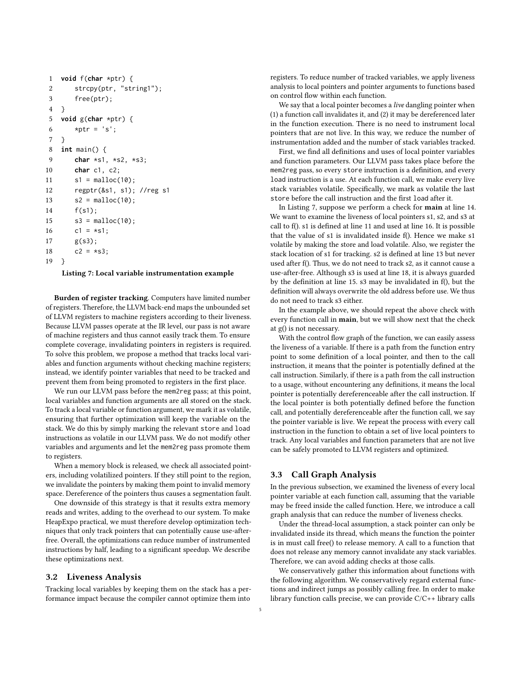```
1 void f(char *ptr) {
2 strcpy(ptr, "string1");
3 free(ptr);
4 }
5 void g(char *ptr) {
6 *ptr = 's';7 }
8 int main() {
9 char *s1, *s2, *s3;
10 char c1, c2;
11 s1 = \text{malloc}(10);
12 regptr(&s1, s1); //reg s1
13 s2 = \text{malloc}(10);14 f(s1);
15 s3 = \text{malloc}(10);16 c1 = *si;
17 g(s3);
18 c2 = *s3;19 }
```
Listing 7: Local variable instrumentation example

Burden of register tracking. Computers have limited number of registers. Therefore, the LLVM back-end maps the unbounded set of LLVM registers to machine registers according to their liveness. Because LLVM passes operate at the IR level, our pass is not aware of machine registers and thus cannot easily track them. To ensure complete coverage, invalidating pointers in registers is required. To solve this problem, we propose a method that tracks local variables and function arguments without checking machine registers; instead, we identify pointer variables that need to be tracked and prevent them from being promoted to registers in the first place.

We run our LLVM pass before the mem2reg pass; at this point, local variables and function arguments are all stored on the stack. To track a local variable or function argument, we mark it as volatile, ensuring that further optimization will keep the variable on the stack. We do this by simply marking the relevant store and load instructions as volatile in our LLVM pass. We do not modify other variables and arguments and let the mem2reg pass promote them to registers.

When a memory block is released, we check all associated pointers, including volatilized pointers. If they still point to the region, we invalidate the pointers by making them point to invalid memory space. Dereference of the pointers thus causes a segmentation fault.

One downside of this strategy is that it results extra memory reads and writes, adding to the overhead to our system. To make HeapExpo practical, we must therefore develop optimization techniques that only track pointers that can potentially cause use-afterfree. Overall, the optimizations can reduce number of instrumented instructions by half, leading to a significant speedup. We describe these optimizations next.

### 3.2 Liveness Analysis

Tracking local variables by keeping them on the stack has a performance impact because the compiler cannot optimize them into

registers. To reduce number of tracked variables, we apply liveness analysis to local pointers and pointer arguments to functions based on control flow within each function.

We say that a local pointer becomes a *live* dangling pointer when (1) a function call invalidates it, and (2) it may be dereferenced later in the function execution. There is no need to instrument local pointers that are not live. In this way, we reduce the number of instrumentation added and the number of stack variables tracked.

First, we find all definitions and uses of local pointer variables and function parameters. Our LLVM pass takes place before the mem2reg pass, so every store instruction is a definition, and every load instruction is a use. At each function call, we make every live stack variables volatile. Specifically, we mark as volatile the last store before the call instruction and the first load after it.

In Listing [7,](#page-4-0) suppose we perform a check for main at line 14. We want to examine the liveness of local pointers s1, s2, and s3 at call to f(). s1 is defined at line 11 and used at line 16. It is possible that the value of s1 is invalidated inside f(). Hence we make s1 volatile by making the store and load volatile. Also, we register the stack location of s1 for tracking. s2 is defined at line 13 but never used after f(). Thus, we do not need to track s2, as it cannot cause a use-after-free. Although s3 is used at line 18, it is always guarded by the definition at line 15. s3 may be invalidated in f(), but the definition will always overwrite the old address before use. We thus do not need to track s3 either.

In the example above, we should repeat the above check with every function call in main, but we will show next that the check at g() is not necessary.

With the control flow graph of the function, we can easily assess the liveness of a variable. If there is a path from the function entry point to some definition of a local pointer, and then to the call instruction, it means that the pointer is potentially defined at the call instruction. Similarly, if there is a path from the call instruction to a usage, without encountering any definitions, it means the local pointer is potentially dereferenceable after the call instruction. If the local pointer is both potentially defined before the function call, and potentially dereferenceable after the function call, we say the pointer variable is live. We repeat the process with every call instruction in the function to obtain a set of live local pointers to track. Any local variables and function parameters that are not live can be safely promoted to LLVM registers and optimized.

#### 3.3 Call Graph Analysis

In the previous subsection, we examined the liveness of every local pointer variable at each function call, assuming that the variable may be freed inside the called function. Here, we introduce a call graph analysis that can reduce the number of liveness checks.

Under the thread-local assumption, a stack pointer can only be invalidated inside its thread, which means the function the pointer is in must call free() to release memory. A call to a function that does not release any memory cannot invalidate any stack variables. Therefore, we can avoid adding checks at those calls.

We conservatively gather this information about functions with the following algorithm. We conservatively regard external functions and indirect jumps as possibly calling free. In order to make library function calls precise, we can provide C/C++ library calls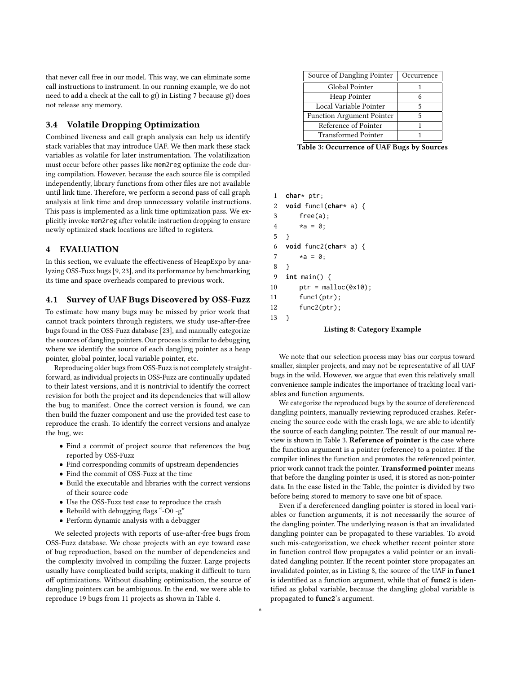that never call free in our model. This way, we can eliminate some call instructions to instrument. In our running example, we do not need to add a check at the call to g() in Listing [7](#page-4-0) because g() does not release any memory.

## 3.4 Volatile Dropping Optimization

Combined liveness and call graph analysis can help us identify stack variables that may introduce UAF. We then mark these stack variables as volatile for later instrumentation. The volatilization must occur before other passes like mem2reg optimize the code during compilation. However, because the each source file is compiled independently, library functions from other files are not available until link time. Therefore, we perform a second pass of call graph analysis at link time and drop unnecessary volatile instructions. This pass is implemented as a link time optimization pass. We explicitly invoke mem2reg after volatile instruction dropping to ensure newly optimized stack locations are lifted to registers.

#### 4 EVALUATION

In this section, we evaluate the effectiveness of HeapExpo by analyzing OSS-Fuzz bugs [\[9,](#page-10-3) [23\]](#page-11-4), and its performance by benchmarking its time and space overheads compared to previous work.

## <span id="page-5-0"></span>4.1 Survey of UAF Bugs Discovered by OSS-Fuzz

To estimate how many bugs may be missed by prior work that cannot track pointers through registers, we study use-after-free bugs found in the OSS-Fuzz database [\[23\]](#page-11-4), and manually categorize the sources of dangling pointers. Our process is similar to debugging where we identify the source of each dangling pointer as a heap pointer, global pointer, local variable pointer, etc.

Reproducing older bugs from OSS-Fuzz is not completely straightforward, as individual projects in OSS-Fuzz are continually updated to their latest versions, and it is nontrivial to identify the correct revision for both the project and its dependencies that will allow the bug to manifest. Once the correct version is found, we can then build the fuzzer component and use the provided test case to reproduce the crash. To identify the correct versions and analyze the bug, we:

- Find a commit of project source that references the bug reported by OSS-Fuzz
- Find corresponding commits of upstream dependencies
- Find the commit of OSS-Fuzz at the time
- Build the executable and libraries with the correct versions of their source code
- Use the OSS-Fuzz test case to reproduce the crash
- Rebuild with debugging flags "-O0 -g"
- Perform dynamic analysis with a debugger

We selected projects with reports of use-after-free bugs from OSS-Fuzz database. We chose projects with an eye toward ease of bug reproduction, based on the number of dependencies and the complexity involved in compiling the fuzzer. Large projects usually have complicated build scripts, making it difficult to turn off optimizations. Without disabling optimization, the source of dangling pointers can be ambiguous. In the end, we were able to reproduce 19 bugs from 11 projects as shown in Table [4.](#page-6-0)

<span id="page-5-1"></span>

| Source of Dangling Pointer       | Occurrence |  |
|----------------------------------|------------|--|
| Global Pointer                   |            |  |
| Heap Pointer                     |            |  |
| Local Variable Pointer           | 5          |  |
| <b>Function Argument Pointer</b> | 5          |  |
| Reference of Pointer             |            |  |
| <b>Transformed Pointer</b>       |            |  |

Table 3: Occurrence of UAF Bugs by Sources

```
1 char* ptr;
```

```
2 void func1(char* a) {
3 free(a);
4 \stara = 0;
5 }
6 void func2(char* a) {
7 \ast a = 0;
8 }
9 int main() {
10 ptr = malloc(0x10);11 func1(ptr);
12 func2(ptr);
13 }
```
#### Listing 8: Category Example

We note that our selection process may bias our corpus toward smaller, simpler projects, and may not be representative of all UAF bugs in the wild. However, we argue that even this relatively small convenience sample indicates the importance of tracking local variables and function arguments.

We categorize the reproduced bugs by the source of dereferenced dangling pointers, manually reviewing reproduced crashes. Referencing the source code with the crash logs, we are able to identify the source of each dangling pointer. The result of our manual review is shown in Table [3.](#page-5-1) Reference of pointer is the case where the function argument is a pointer (reference) to a pointer. If the compiler inlines the function and promotes the referenced pointer, prior work cannot track the pointer. Transformed pointer means that before the dangling pointer is used, it is stored as non-pointer data. In the case listed in the Table, the pointer is divided by two before being stored to memory to save one bit of space.

Even if a dereferenced dangling pointer is stored in local variables or function arguments, it is not necessarily the source of the dangling pointer. The underlying reason is that an invalidated dangling pointer can be propagated to these variables. To avoid such mis-categorization, we check whether recent pointer store in function control flow propagates a valid pointer or an invalidated dangling pointer. If the recent pointer store propagates an invalidated pointer, as in Listing [8,](#page-5-2) the source of the UAF in func1 is identified as a function argument, while that of func2 is identified as global variable, because the dangling global variable is propagated to func2's argument.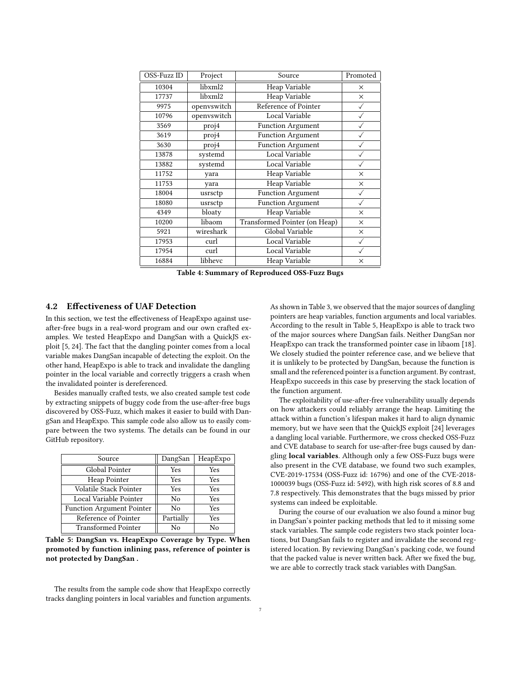<span id="page-6-0"></span>

| OSS-Fuzz ID | Project     | Source                        | Promoted     |
|-------------|-------------|-------------------------------|--------------|
| 10304       | libxml2     | Heap Variable                 | X            |
| 17737       | libxml2     | Heap Variable                 | X            |
| 9975        | openvswitch | Reference of Pointer          |              |
| 10796       | openvswitch | Local Variable                |              |
| 3569        | proj4       | <b>Function Argument</b>      |              |
| 3619        | proj4       | <b>Function Argument</b>      |              |
| 3630        | proj4       | <b>Function Argument</b>      |              |
| 13878       | systemd     | Local Variable                |              |
| 13882       | systemd     | Local Variable                |              |
| 11752       | yara        | Heap Variable                 | X            |
| 11753       | yara        | <b>Heap Variable</b>          | X            |
| 18004       | usrsctp     | <b>Function Argument</b>      |              |
| 18080       | usrsctp     | <b>Function Argument</b>      | $\checkmark$ |
| 4349        | bloaty      | Heap Variable                 | X            |
| 10200       | libaom      | Transformed Pointer (on Heap) | $\times$     |
| 5921        | wireshark   | Global Variable               | $\times$     |
| 17953       | curl        | Local Variable                | $\checkmark$ |
| 17954       | curl        | Local Variable                |              |
| 16884       | libhevc     | Heap Variable                 | $\times$     |

Table 4: Summary of Reproduced OSS-Fuzz Bugs

## 4.2 Effectiveness of UAF Detection

In this section, we test the effectiveness of HeapExpo against useafter-free bugs in a real-word program and our own crafted examples. We tested HeapExpo and DangSan with a QuickJS exploit [\[5,](#page-10-14) [24\]](#page-11-7). The fact that the dangling pointer comes from a local variable makes DangSan incapable of detecting the exploit. On the other hand, HeapExpo is able to track and invalidate the dangling pointer in the local variable and correctly triggers a crash when the invalidated pointer is dereferenced.

Besides manually crafted tests, we also created sample test code by extracting snippets of buggy code from the use-after-free bugs discovered by OSS-Fuzz, which makes it easier to build with DangSan and HeapExpo. This sample code also allow us to easily compare between the two systems. The details can be found in our GitHub repository.

<span id="page-6-1"></span>

| Source                           | DangSan   | HeapExpo |
|----------------------------------|-----------|----------|
| Global Pointer                   | Yes       | Yes      |
| Heap Pointer                     | Yes       | Yes      |
| Volatile Stack Pointer           | Yes       | Yes      |
| Local Variable Pointer           | No        | Yes      |
| <b>Function Argument Pointer</b> | No        | Yes      |
| Reference of Pointer             | Partially | Yes      |
| <b>Transformed Pointer</b>       | Nο        | Nο       |

Table 5: DangSan vs. HeapExpo Coverage by Type. When promoted by function inlining pass, reference of pointer is not protected by DangSan .

The results from the sample code show that HeapExpo correctly tracks dangling pointers in local variables and function arguments. As shown in Table [3,](#page-5-1) we observed that the major sources of dangling pointers are heap variables, function arguments and local variables. According to the result in Table [5,](#page-6-1) HeapExpo is able to track two of the major sources where DangSan fails. Neither DangSan nor HeapExpo can track the transformed pointer case in libaom [\[18\]](#page-10-15). We closely studied the pointer reference case, and we believe that it is unlikely to be protected by DangSan, because the function is small and the referenced pointer is a function argument. By contrast, HeapExpo succeeds in this case by preserving the stack location of the function argument.

The exploitability of use-after-free vulnerability usually depends on how attackers could reliably arrange the heap. Limiting the attack within a function's lifespan makes it hard to align dynamic memory, but we have seen that the QuickJS exploit [\[24\]](#page-11-7) leverages a dangling local variable. Furthermore, we cross checked OSS-Fuzz and CVE database to search for use-after-free bugs caused by dangling local variables. Although only a few OSS-Fuzz bugs were also present in the CVE database, we found two such examples, CVE-2019-17534 (OSS-Fuzz id: 16796) and one of the CVE-2018- 1000039 bugs (OSS-Fuzz id: 5492), with high risk scores of 8.8 and 7.8 respectively. This demonstrates that the bugs missed by prior systems can indeed be exploitable.

During the course of our evaluation we also found a minor bug in DangSan's pointer packing methods that led to it missing some stack variables. The sample code registers two stack pointer locations, but DangSan fails to register and invalidate the second registered location. By reviewing DangSan's packing code, we found that the packed value is never written back. After we fixed the bug, we are able to correctly track stack variables with DangSan.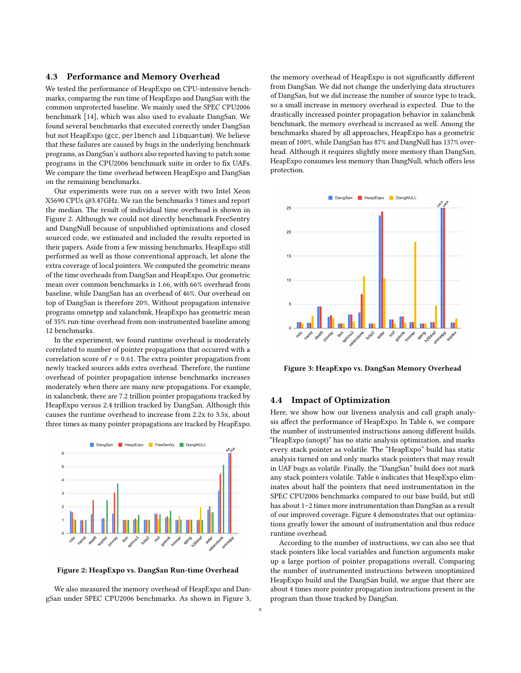#### 4.3 Performance and Memory Overhead

We tested the performance of HeapExpo on CPU-intensive benchmarks, comparing the run time of HeapExpo and DangSan with the common unprotected baseline. We mainly used the SPEC CPU2006 benchmark [\[14\]](#page-10-5), which was also used to evaluate DangSan. We found several benchmarks that executed correctly under DangSan but not HeapExpo (gcc, perlbench and libquantum). We believe that these failures are caused by bugs in the underlying benchmark programs, as DangSan's authors also reported having to patch some programs in the CPU2006 benchmark suite in order to fix UAFs. We compare the time overhead between HeapExpo and DangSan on the remaining benchmarks.

Our experiments were run on a server with two Intel Xeon X5690 CPUs @3.47GHz. We ran the benchmarks 3 times and report the median. The result of individual time overhead is shown in Figure [2.](#page-7-0) Although we could not directly benchmark FreeSentry and DangNull because of unpublished optimizations and closed sourced code, we estimated and included the results reported in their papers. Aside from a few missing benchmarks, HeapExpo still performed as well as those conventional approach, let alone the extra coverage of local pointers. We computed the geometric means of the time overheads from DangSan and HeapExpo. Our geometric mean over common benchmarks is 1.66, with 66% overhead from baseline, while DangSan has an overhead of 46%. Our overhead on top of DangSan is therefore 20%. Without propagation intensive programs omnetpp and xalancbmk, HeapExpo has geometric mean of 35% run-time overhead from non-instrumented baseline among 12 benchmarks.

In the experiment, we found runtime overhead is moderately correlated to number of pointer propagations that occurred with a correlation score of  $r = 0.61$ . The extra pointer propagation from newly tracked sources adds extra overhead. Therefore, the runtime overhead of pointer propagation intense benchmarks increases moderately when there are many new propagations. For example, in xalancbmk, there are 7.2 trillion pointer propagations tracked by HeapExpo versus 2.4 trillion tracked by DangSan. Although this causes the runtime overhead to increase from 2.2x to 3.5x, about three times as many pointer propagations are tracked by HeapExpo.

<span id="page-7-0"></span>

Figure 2: HeapExpo vs. DangSan Run-time Overhead

We also measured the memory overhead of HeapExpo and DangSan under SPEC CPU2006 benchmarks. As shown in Figure [3,](#page-7-1)

the memory overhead of HeapExpo is not significantly different from DangSan. We did not change the underlying data structures of DangSan, but we did increase the number of source type to track, so a small increase in memory overhead is expected. Due to the drastically increased pointer propagation behavior in xalancbmk benchmark, the memory overhead is increased as well. Among the benchmarks shared by all approaches, HeapExpo has a geometric mean of 100%, while DangSan has 87% and DangNull has 137% overhead. Although it requires slightly more memory than DangSan, HeapExpo consumes less memory than DangNull, which offers less protection.

<span id="page-7-1"></span>

Figure 3: HeapExpo vs. DangSan Memory Overhead

## 4.4 Impact of Optimization

Here, we show how our liveness analysis and call graph analysis affect the performance of HeapExpo. In Table [6,](#page-8-0) we compare the number of instrumented instructions among different builds. "HeapExpo (unopt)" has no static analysis optimization, and marks every stack pointer as volatile. The "HeapExpo" build has static analysis turned on and only marks stack pointers that may result in UAF bugs as volatile. Finally, the "DangSan" build does not mark any stack pointers volatile. Table [6](#page-8-0) indicates that HeapExpo eliminates about half the pointers that need instrumentation in the SPEC CPU2006 benchmarks compared to our base build, but still has about 1–2 times more instrumentation than DangSan as a result of our improved coverage. Figure [4](#page-8-1) demonstrates that our optimizations greatly lower the amount of instrumentation and thus reduce runtime overhead.

According to the number of instructions, we can also see that stack pointers like local variables and function arguments make up a large portion of pointer propagations overall. Comparing the number of instrumented instructions between unoptimized HeapExpo build and the DangSan build, we argue that there are about 4 times more pointer propagation instructions present in the program than those tracked by DangSan.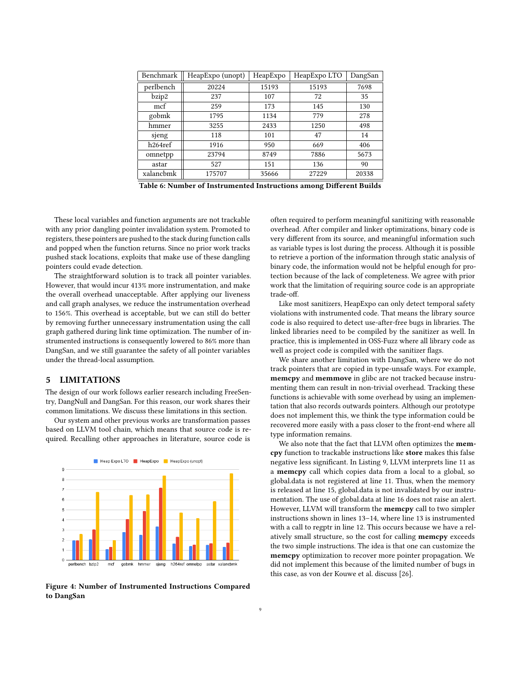<span id="page-8-0"></span>

| Benchmark            | HeapExpo (unopt) | HeapExpo | HeapExpo LTO | DangSan |
|----------------------|------------------|----------|--------------|---------|
| perlbench            | 20224            | 15193    | 15193        | 7698    |
| bzip2                | 237              | 107      | 72           | 35      |
| mcf                  | 259              | 173      | 145          | 130     |
| gobmk                | 1795             | 1134     | 779          | 278     |
| hmmer                | 3255             | 2433     | 1250         | 498     |
| sjeng                | 118              | 101      | 47           | 14      |
| h <sub>264</sub> ref | 1916             | 950      | 669          | 406     |
| omnetpp              | 23794            | 8749     | 7886         | 5673    |
| astar                | 527              | 151      | 136          | 90      |
| xalancbmk            | 175707           | 35666    | 27229        | 20338   |

Table 6: Number of Instrumented Instructions among Different Builds

These local variables and function arguments are not trackable with any prior dangling pointer invalidation system. Promoted to registers, these pointers are pushed to the stack during function calls and popped when the function returns. Since no prior work tracks pushed stack locations, exploits that make use of these dangling pointers could evade detection.

The straightforward solution is to track all pointer variables. However, that would incur 413% more instrumentation, and make the overall overhead unacceptable. After applying our liveness and call graph analyses, we reduce the instrumentation overhead to 156%. This overhead is acceptable, but we can still do better by removing further unnecessary instrumentation using the call graph gathered during link time optimization. The number of instrumented instructions is consequently lowered to 86% more than DangSan, and we still guarantee the safety of all pointer variables under the thread-local assumption.

## 5 LIMITATIONS

The design of our work follows earlier research including FreeSentry, DangNull and DangSan. For this reason, our work shares their common limitations. We discuss these limitations in this section.

Our system and other previous works are transformation passes based on LLVM tool chain, which means that source code is required. Recalling other approaches in literature, source code is

<span id="page-8-1"></span>

Figure 4: Number of Instrumented Instructions Compared to DangSan

often required to perform meaningful sanitizing with reasonable overhead. After compiler and linker optimizations, binary code is very different from its source, and meaningful information such as variable types is lost during the process. Although it is possible to retrieve a portion of the information through static analysis of binary code, the information would not be helpful enough for protection because of the lack of completeness. We agree with prior work that the limitation of requiring source code is an appropriate trade-off.

Like most sanitizers, HeapExpo can only detect temporal safety violations with instrumented code. That means the library source code is also required to detect use-after-free bugs in libraries. The linked libraries need to be compiled by the sanitizer as well. In practice, this is implemented in OSS-Fuzz where all library code as well as project code is compiled with the sanitizer flags.

We share another limitation with DangSan, where we do not track pointers that are copied in type-unsafe ways. For example, memcpy and memmove in glibc are not tracked because instrumenting them can result in non-trivial overhead. Tracking these functions is achievable with some overhead by using an implementation that also records outwards pointers. Although our prototype does not implement this, we think the type information could be recovered more easily with a pass closer to the front-end where all type information remains.

We also note that the fact that LLVM often optimizes the memcpy function to trackable instructions like store makes this false negative less significant. In Listing [9,](#page-9-0) LLVM interprets line 11 as a memcpy call which copies data from a local to a global, so global.data is not registered at line 11. Thus, when the memory is released at line 15, global.data is not invalidated by our instrumentation. The use of global.data at line 16 does not raise an alert. However, LLVM will transform the memcpy call to two simpler instructions shown in lines 13–14, where line 13 is instrumented with a call to regptr in line 12. This occurs because we have a relatively small structure, so the cost for calling memcpy exceeds the two simple instructions. The idea is that one can customize the memcpy optimization to recover more pointer propagation. We did not implement this because of the limited number of bugs in this case, as von der Kouwe et al. discuss [\[26\]](#page-11-2).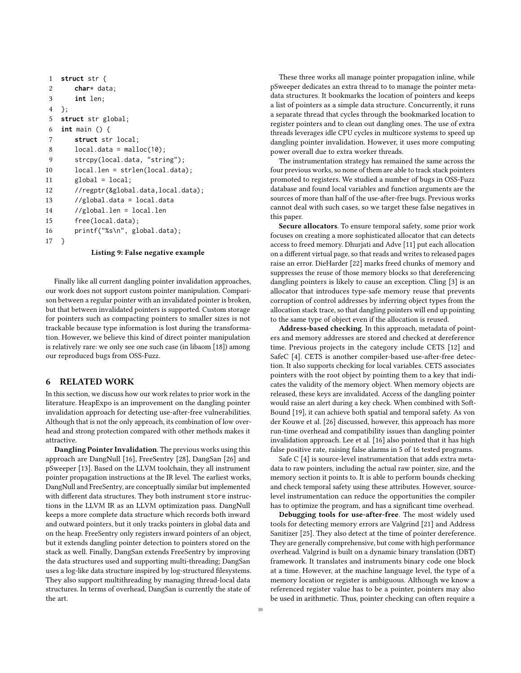```
1 struct str {
2 char* data;
3 int len;
4 };
5 struct str global;
6 int main () {
7 struct str local;
8 local.data = malloc(10);
9 strcpy(local.data, "string");
10 local.len = strlen(local.data);
11 global = local:
12 //regptr(&global.data,local.data);
13 //global.data = local.data
14 //global.len = local.len
15 free(local.data);
16 printf("%s\n", global.data);
17 }
```
#### Listing 9: False negative example

Finally like all current dangling pointer invalidation approaches, our work does not support custom pointer manipulation. Comparison between a regular pointer with an invalidated pointer is broken, but that between invalidated pointers is supported. Custom storage for pointers such as compacting pointers to smaller sizes is not trackable because type information is lost during the transformation. However, we believe this kind of direct pointer manipulation is relatively rare: we only see one such case (in libaom [\[18\]](#page-10-15)) among our reproduced bugs from OSS-Fuzz.

#### 6 RELATED WORK

In this section, we discuss how our work relates to prior work in the literature. HeapExpo is an improvement on the dangling pointer invalidation approach for detecting use-after-free vulnerabilities. Although that is not the only approach, its combination of low overhead and strong protection compared with other methods makes it attractive.

Dangling Pointer Invalidation. The previous works using this approach are DangNull [\[16\]](#page-10-1), FreeSentry [\[28\]](#page-11-1), DangSan [\[26\]](#page-11-2) and pSweeper [\[13\]](#page-10-2). Based on the LLVM toolchain, they all instrument pointer propagation instructions at the IR level. The earliest works, DangNull and FreeSentry, are conceptually similar but implemented with different data structures. They both instrument store instructions in the LLVM IR as an LLVM optimization pass. DangNull keeps a more complete data structure which records both inward and outward pointers, but it only tracks pointers in global data and on the heap. FreeSentry only registers inward pointers of an object, but it extends dangling pointer detection to pointers stored on the stack as well. Finally, DangSan extends FreeSentry by improving the data structures used and supporting multi-threading; DangSan uses a log-like data structure inspired by log-structured filesystems. They also support multithreading by managing thread-local data structures. In terms of overhead, DangSan is currently the state of the art.

These three works all manage pointer propagation inline, while pSweeper dedicates an extra thread to to manage the pointer metadata structures. It bookmarks the location of pointers and keeps a list of pointers as a simple data structure. Concurrently, it runs a separate thread that cycles through the bookmarked location to register pointers and to clean out dangling ones. The use of extra threads leverages idle CPU cycles in multicore systems to speed up dangling pointer invalidation. However, it uses more computing power overall due to extra worker threads.

The instrumentation strategy has remained the same across the four previous works, so none of them are able to track stack pointers promoted to registers. We studied a number of bugs in OSS-Fuzz database and found local variables and function arguments are the sources of more than half of the use-after-free bugs. Previous works cannot deal with such cases, so we target these false negatives in this paper.

Secure allocators. To ensure temporal safety, some prior work focuses on creating a more sophisticated allocator that can detects access to freed memory. Dhurjati and Adve [\[11\]](#page-10-16) put each allocation on a different virtual page, so that reads and writes to released pages raise an error. DieHarder [\[22\]](#page-11-5) marks freed chunks of memory and suppresses the reuse of those memory blocks so that dereferencing dangling pointers is likely to cause an exception. Cling [\[3\]](#page-10-7) is an allocator that introduces type-safe memory reuse that prevents corruption of control addresses by inferring object types from the allocation stack trace, so that dangling pointers will end up pointing to the same type of object even if the allocation is reused.

Address-based checking. In this approach, metadata of pointers and memory addresses are stored and checked at dereference time. Previous projects in the category include CETS [\[12\]](#page-10-17) and SafeC [\[4\]](#page-10-9). CETS is another compiler-based use-after-free detection. It also supports checking for local variables. CETS associates pointers with the root object by pointing them to a key that indicates the validity of the memory object. When memory objects are released, these keys are invalidated. Access of the dangling pointer would raise an alert during a key check. When combined with Soft-Bound [\[19\]](#page-10-10), it can achieve both spatial and temporal safety. As von der Kouwe et al. [\[26\]](#page-11-2) discussed, however, this approach has more run-time overhead and compatibility issues than dangling pointer invalidation approach. Lee et al. [\[16\]](#page-10-1) also pointed that it has high false positive rate, raising false alarms in 5 of 16 tested programs.

Safe C [\[4\]](#page-10-9) is source-level instrumentation that adds extra metadata to raw pointers, including the actual raw pointer, size, and the memory section it points to. It is able to perform bounds checking and check temporal safety using these attributes. However, sourcelevel instrumentation can reduce the opportunities the compiler has to optimize the program, and has a significant time overhead.

Debugging tools for use-after-free. The most widely used tools for detecting memory errors are Valgrind [\[21\]](#page-11-8) and Address Sanitizer [\[25\]](#page-11-3). They also detect at the time of pointer dereference. They are generally comprehensive, but come with high performance overhead. Valgrind is built on a dynamic binary translation (DBT) framework. It translates and instruments binary code one block at a time. However, at the machine language level, the type of a memory location or register is ambiguous. Although we know a referenced register value has to be a pointer, pointers may also be used in arithmetic. Thus, pointer checking can often require a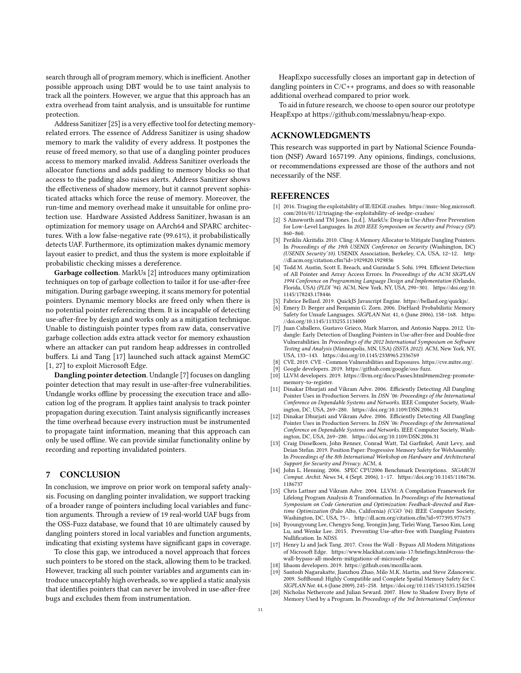search through all of program memory, which is inefficient. Another possible approach using DBT would be to use taint analysis to track all the pointers. However, we argue that this approach has an extra overhead from taint analysis, and is unsuitable for runtime protection.

Address Sanitizer [\[25\]](#page-11-3) is a very effective tool for detecting memoryrelated errors. The essence of Address Sanitizer is using shadow memory to mark the validity of every address. It postpones the reuse of freed memory, so that use of a dangling pointer produces access to memory marked invalid. Address Sanitizer overloads the allocator functions and adds padding to memory blocks so that access to the padding also raises alerts. Address Sanitizer shows the effectiveness of shadow memory, but it cannot prevent sophisticated attacks which force the reuse of memory. Moreover, the run-time and memory overhead make it unsuitable for online protection use. Hardware Assisted Address Sanitizer, hwasan is an optimization for memory usage on AArch64 and SPARC architectures. With a low false-negative rate (99.61%), it probabilistically detects UAF. Furthermore, its optimization makes dynamic memory layout easier to predict, and thus the system is more exploitable if probabilistic checking misses a dereference.

Garbage collection. MarkUs [\[2\]](#page-10-13) introduces many optimization techniques on top of garbage collection to tailor it for use-after-free mitigation. During garbage sweeping, it scans memory for potential pointers. Dynamic memory blocks are freed only when there is no potential pointer referencing them. It is incapable of detecting use-after-free by design and works only as a mitigation technique. Unable to distinguish pointer types from raw data, conservative garbage collection adds extra attack vector for memory exhaustion where an attacker can put random heap addresses in controlled buffers. Li and Tang [\[17\]](#page-10-18) launched such attack against MemGC [\[1,](#page-10-12) [27\]](#page-11-6) to exploit Microsoft Edge.

Dangling pointer detection. Undangle [\[7\]](#page-10-19) focuses on dangling pointer detection that may result in use-after-free vulnerabilities. Undangle works offline by processing the execution trace and allocation log of the program. It applies taint analysis to track pointer propagation during execution. Taint analysis significantly increases the time overhead because every instruction must be instrumented to propagate taint information, meaning that this approach can only be used offline. We can provide similar functionality online by recording and reporting invalidated pointers.

#### 7 CONCLUSION

In conclusion, we improve on prior work on temporal safety analysis. Focusing on dangling pointer invalidation, we support tracking of a broader range of pointers including local variables and function arguments. Through a review of 19 real-world UAF bugs from the OSS-Fuzz database, we found that 10 are ultimately caused by dangling pointers stored in local variables and function arguments, indicating that existing systems have significant gaps in coverage.

To close this gap, we introduced a novel approach that forces such pointers to be stored on the stack, allowing them to be tracked. However, tracking all such pointer variables and arguments can introduce unacceptably high overheads, so we applied a static analysis that identifies pointers that can never be involved in use-after-free bugs and excludes them from instrumentation.

HeapExpo successfully closes an important gap in detection of dangling pointers in C/C++ programs, and does so with reasonable additional overhead compared to prior work.

To aid in future research, we choose to open source our prototype HeapExpo at [https://github.com/messlabnyu/heap-expo.](https://github.com/messlabnyu/heap-expo)

## ACKNOWLEDGMENTS

This research was supported in part by National Science Foundation (NSF) Award 1657199. Any opinions, findings, conclusions, or recommendations expressed are those of the authors and not necessarily of the NSF.

## **REFERENCES**

- <span id="page-10-12"></span>[1] 2016. Triaging the exploitability of IE/EDGE crashes. [https://msrc-blog.microsoft.](https://msrc-blog.microsoft.com/2016/01/12/triaging-the-exploitability-of-ieedge-crashes/) [com/2016/01/12/triaging-the-exploitability-of-ieedge-crashes/](https://msrc-blog.microsoft.com/2016/01/12/triaging-the-exploitability-of-ieedge-crashes/)
- <span id="page-10-13"></span>S Ainsworth and TM Jones. [n.d.]. MarkUs: Drop-in Use-After-Free Prevention for Low-Level Languages. In 2020 IEEE Symposium on Security and Privacy (SP). 860–860.
- <span id="page-10-7"></span>[3] Periklis Akritidis. 2010. Cling: A Memory Allocator to Mitigate Dangling Pointers. In Proceedings of the 19th USENIX Conference on Security (Washington, DC) (USENIX Security'10). USENIX Association, Berkeley, CA, USA, 12–12. [http:](http://dl.acm.org/citation.cfm?id=1929820.1929836) [//dl.acm.org/citation.cfm?id=1929820.1929836](http://dl.acm.org/citation.cfm?id=1929820.1929836)
- <span id="page-10-9"></span>[4] Todd M. Austin, Scott E. Breach, and Gurindar S. Sohi. 1994. Efficient Detection of All Pointer and Array Access Errors. In Proceedings of the ACM SIGPLAN 1994 Conference on Programming Language Design and Implementation (Orlando, Florida, USA) (PLDI '94). ACM, New York, NY, USA, 290–301. [https://doi.org/10.](https://doi.org/10.1145/178243.178446) [1145/178243.178446](https://doi.org/10.1145/178243.178446)
- <span id="page-10-14"></span>[5] Fabrice Bellard. 2019. QuickJS Javascript Engine. [https://bellard.org/quickjs/.](https://bellard.org/quickjs/)
- <span id="page-10-8"></span>Emery D. Berger and Benjamin G. Zorn. 2006. DieHard: Probabilistic Memory Safety for Unsafe Languages. SIGPLAN Not. 41, 6 (June 2006), 158–168. [https:](https://doi.org/10.1145/1133255.1134000) [//doi.org/10.1145/1133255.1134000](https://doi.org/10.1145/1133255.1134000)
- <span id="page-10-19"></span>[7] Juan Caballero, Gustavo Grieco, Mark Marron, and Antonio Nappa. 2012. Undangle: Early Detection of Dangling Pointers in Use-after-free and Double-free Vulnerabilities. In Proceedings of the 2012 International Symposium on Software Testing and Analysis (Minneapolis, MN, USA) (ISSTA 2012). ACM, New York, NY, USA, 133–143.<https://doi.org/10.1145/2338965.2336769>
- <span id="page-10-0"></span>[8] CVE. 2019. CVE - Common Vulnerabilities and Exposures. [https://cve.mitre.org/.](https://cve.mitre.org/)
- <span id="page-10-3"></span>Google developers. 2019. [https://github.com/google/oss-fuzz.](https://github.com/google/oss-fuzz)
- <span id="page-10-6"></span>[10] LLVM developers. 2019. [https://llvm.org/docs/Passes.html#mem2reg-promote](https://llvm.org/docs/Passes.html#mem2reg-promote-memory-to-register)[memory-to-register.](https://llvm.org/docs/Passes.html#mem2reg-promote-memory-to-register)
- <span id="page-10-16"></span>[11] Dinakar Dhurjati and Vikram Adve. 2006. Efficiently Detecting All Dangling Pointer Uses in Production Servers. In DSN '06: Proceedings of the International Conference on Dependable Systems and Networks. IEEE Computer Society, Washington, DC, USA, 269–280.<https://doi.org/10.1109/DSN.2006.31>
- <span id="page-10-17"></span>[12] Dinakar Dhurjati and Vikram Adve. 2006. Efficiently Detecting All Dangling Pointer Uses in Production Servers. In DSN '06: Proceedings of the International Conference on Dependable Systems and Networks. IEEE Computer Society, Washington, DC, USA, 269–280.<https://doi.org/10.1109/DSN.2006.31>
- <span id="page-10-2"></span>[13] Craig Disselkoen, John Renner, Conrad Watt, Tal Garfinkel, Amit Levy, and Deian Stefan. 2019. Position Paper: Progressive Memory Safety for WebAssembly. In Proceedings of the 8th International Workshop on Hardware and Architectural Support for Security and Privacy. ACM, 4.
- <span id="page-10-5"></span>[14] John L. Henning. 2006. SPEC CPU2006 Benchmark Descriptions. SIGARCH Comput. Archit. News 34, 4 (Sept. 2006), 1–17. [https://doi.org/10.1145/1186736.](https://doi.org/10.1145/1186736.1186737) [1186737](https://doi.org/10.1145/1186736.1186737)
- <span id="page-10-4"></span>[15] Chris Lattner and Vikram Adve. 2004. LLVM: A Compilation Framework for Lifelong Program Analysis & Transformation. In Proceedings of the International Symposium on Code Generation and Optimization: Feedback-directed and Runtime Optimization (Palo Alto, California) (CGO '04). IEEE Computer Society, Washington, DC, USA, 75–.<http://dl.acm.org/citation.cfm?id=977395.977673>
- <span id="page-10-1"></span>[16] Byoungyoung Lee, Chengyu Song, Yeongjin Jang, Tielei Wang, Taesoo Kim, Long Lu, and Wenke Lee. 2015. Preventing Use-after-free with Dangling Pointers Nullification. In NDSS.
- <span id="page-10-18"></span>[17] Henry Li and Jack Tang. 2017. Cross the Wall - Bypass All Modern Mitigations of Microsoft Edge. [https://www.blackhat.com/asia-17/briefings.html#cross-the](https://www.blackhat.com/asia-17/briefings.html#cross-the-wall-bypass-all-modern-mitigations-of-microsoft-edge)[wall-bypass-all-modern-mitigations-of-microsoft-edge](https://www.blackhat.com/asia-17/briefings.html#cross-the-wall-bypass-all-modern-mitigations-of-microsoft-edge)
- <span id="page-10-15"></span>[18] libaom developers. 2019. [https://github.com/mozilla/aom.](https://github.com/mozilla/aom)
- <span id="page-10-10"></span>[19] Santosh Nagarakatte, Jianzhou Zhao, Milo M.K. Martin, and Steve Zdancewic. 2009. SoftBound: Highly Compatible and Complete Spatial Memory Safety for C. SIGPLAN Not. 44, 6 (June 2009), 245–258.<https://doi.org/10.1145/1543135.1542504>
- <span id="page-10-11"></span>[20] Nicholas Nethercote and Julian Seward. 2007. How to Shadow Every Byte of Memory Used by a Program. In Proceedings of the 3rd International Conference